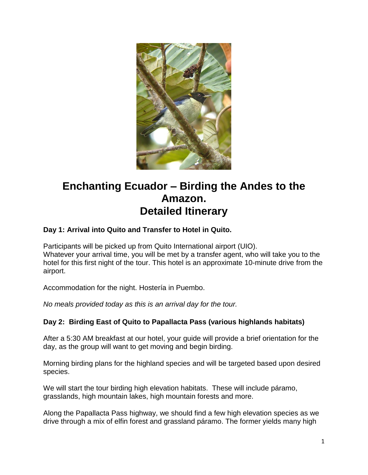

# **Enchanting Ecuador – Birding the Andes to the Amazon. Detailed Itinerary**

## **Day 1: Arrival into Quito and Transfer to Hotel in Quito.**

Participants will be picked up from Quito International airport (UIO). Whatever your arrival time, you will be met by a transfer agent, who will take you to the hotel for this first night of the tour. This hotel is an approximate 10-minute drive from the airport.

Accommodation for the night. Hostería in Puembo.

*No meals provided today as this is an arrival day for the tour.*

#### **Day 2: Birding East of Quito to Papallacta Pass (various highlands habitats)**

After a 5:30 AM breakfast at our hotel, your guide will provide a brief orientation for the day, as the group will want to get moving and begin birding.

Morning birding plans for the highland species and will be targeted based upon desired species.

We will start the tour birding high elevation habitats. These will include páramo, grasslands, high mountain lakes, high mountain forests and more.

Along the Papallacta Pass highway, we should find a few high elevation species as we drive through a mix of elfin forest and grassland páramo. The former yields many high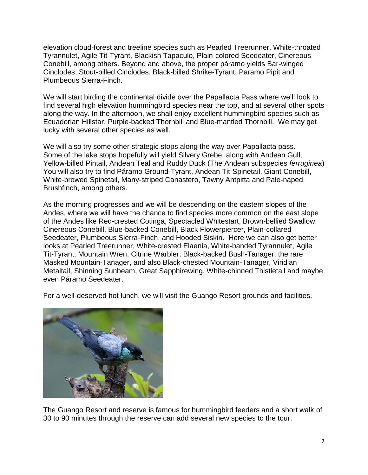elevation cloud-forest and treeline species such as Pearled Treerunner, White-throated Tyrannulet, Agile Tit-Tyrant, Blackish Tapaculo, Plain-colored Seedeater, Cinereous Conebill, among others. Beyond and above, the proper páramo yields Bar-winged Cinclodes, Stout-billed Cinclodes, Black-billed Shrike-Tyrant, Paramo Pipit and Plumbeous Sierra-Finch.

We will start birding the continental divide over the Papallacta Pass where we'll look to find several high elevation hummingbird species near the top, and at several other spots along the way. In the afternoon, we shall enjoy excellent hummingbird species such as Ecuadorian Hillstar, Purple-backed Thornbill and Blue-mantled Thornbill. We may get lucky with several other species as well.

We will also try some other strategic stops along the way over Papallacta pass. Some of the lake stops hopefully will yield Silvery Grebe, along with Andean Gull, Yellow-billed Pintail, Andean Teal and Ruddy Duck (The Andean subspecies *ferruginea*) You will also try to find Páramo Ground-Tyrant, Andean Tit-Spinetail, Giant Conebill, White-browed Spinetail, Many-striped Canastero, Tawny Antpitta and Pale-naped Brushfinch, among others.

As the morning progresses and we will be descending on the eastern slopes of the Andes, where we will have the chance to find species more common on the east slope of the Andes like Red-crested Cotinga, Spectacled Whitestart, Brown-bellied Swallow, Cinereous Conebill, Blue-backed Conebill, Black Flowerpiercer, Plain-collared Seedeater, Plumbeous Sierra-Finch, and Hooded Siskin. Here we can also get better looks at Pearled Treerunner, White-crested Elaenia, White-banded Tyrannulet, Agile Tit-Tyrant, Mountain Wren, Citrine Warbler, Black-backed Bush-Tanager, the rare Masked Mountain-Tanager, and also Black-chested Mountain-Tanager, Viridian Metaltail, Shinning Sunbeam, Great Sapphirewing, White-chinned Thistletail and maybe even Páramo Seedeater.

For a well-deserved hot lunch, we will visit the Guango Resort grounds and facilities.



The Guango Resort and reserve is famous for hummingbird feeders and a short walk of 30 to 90 minutes through the reserve can add several new species to the tour.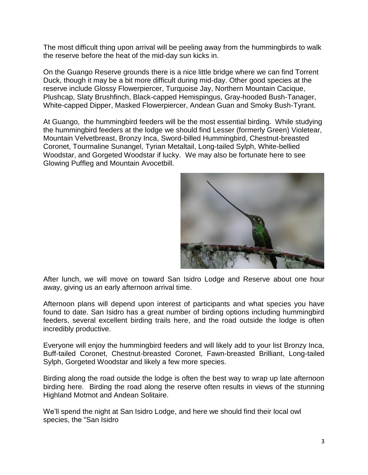The most difficult thing upon arrival will be peeling away from the hummingbirds to walk the reserve before the heat of the mid-day sun kicks in.

On the Guango Reserve grounds there is a nice little bridge where we can find Torrent Duck, though it may be a bit more difficult during mid-day. Other good species at the reserve include Glossy Flowerpiercer, Turquoise Jay, Northern Mountain Cacique, Plushcap, Slaty Brushfinch, Black-capped Hemispingus, Gray-hooded Bush-Tanager, White-capped Dipper, Masked Flowerpiercer, Andean Guan and Smoky Bush-Tyrant.

At Guango, the hummingbird feeders will be the most essential birding. While studying the hummingbird feeders at the lodge we should find Lesser (formerly Green) Violetear, Mountain Velvetbreast, Bronzy Inca, Sword-billed Hummingbird, Chestnut-breasted Coronet, Tourmaline Sunangel, Tyrian Metaltail, Long-tailed Sylph, White-bellied Woodstar, and Gorgeted Woodstar if lucky. We may also be fortunate here to see Glowing Puffleg and Mountain Avocetbill.



After lunch, we will move on toward San Isidro Lodge and Reserve about one hour away, giving us an early afternoon arrival time.

Afternoon plans will depend upon interest of participants and what species you have found to date. San Isidro has a great number of birding options including hummingbird feeders, several excellent birding trails here, and the road outside the lodge is often incredibly productive.

Everyone will enjoy the hummingbird feeders and will likely add to your list Bronzy Inca, Buff-tailed Coronet, Chestnut-breasted Coronet, Fawn-breasted Brilliant, Long-tailed Sylph, Gorgeted Woodstar and likely a few more species.

Birding along the road outside the lodge is often the best way to wrap up late afternoon birding here. Birding the road along the reserve often results in views of the stunning Highland Motmot and Andean Solitaire.

We'll spend the night at San Isidro Lodge, and here we should find their local owl species, the "San Isidro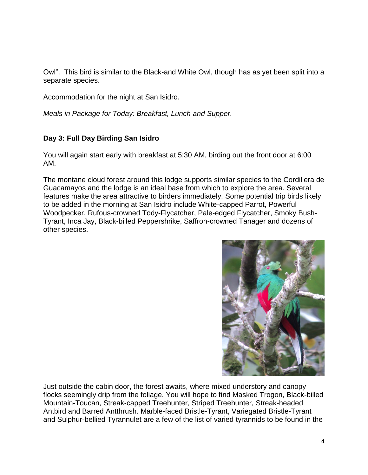Owl". This bird is similar to the Black-and White Owl, though has as yet been split into a separate species.

Accommodation for the night at San Isidro.

*Meals in Package for Today: Breakfast, Lunch and Supper.*

## **Day 3: Full Day Birding San Isidro**

You will again start early with breakfast at 5:30 AM, birding out the front door at 6:00 AM.

The montane cloud forest around this lodge supports similar species to the Cordillera de Guacamayos and the lodge is an ideal base from which to explore the area. Several features make the area attractive to birders immediately. Some potential trip birds likely to be added in the morning at San Isidro include White-capped Parrot, Powerful Woodpecker, Rufous-crowned Tody-Flycatcher, Pale-edged Flycatcher, Smoky Bush-Tyrant, Inca Jay, Black-billed Peppershrike, Saffron-crowned Tanager and dozens of other species.



Just outside the cabin door, the forest awaits, where mixed understory and canopy flocks seemingly drip from the foliage. You will hope to find Masked Trogon, Black-billed Mountain-Toucan, Streak-capped Treehunter, Striped Treehunter, Streak-headed Antbird and Barred Antthrush. Marble-faced Bristle-Tyrant, Variegated Bristle-Tyrant and Sulphur-bellied Tyrannulet are a few of the list of varied tyrannids to be found in the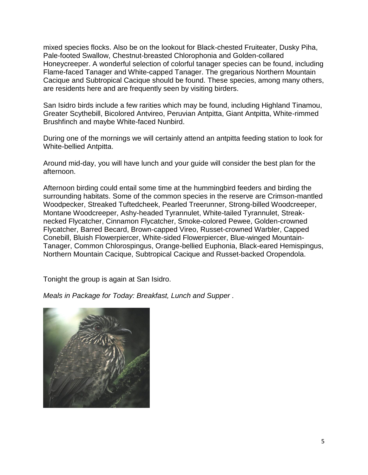mixed species flocks. Also be on the lookout for Black-chested Fruiteater, Dusky Piha, Pale-footed Swallow, Chestnut-breasted Chlorophonia and Golden-collared Honeycreeper. A wonderful selection of colorful tanager species can be found, including Flame-faced Tanager and White-capped Tanager. The gregarious Northern Mountain Cacique and Subtropical Cacique should be found. These species, among many others, are residents here and are frequently seen by visiting birders.

San Isidro birds include a few rarities which may be found, including Highland Tinamou, Greater Scythebill, Bicolored Antvireo, Peruvian Antpitta, Giant Antpitta, White-rimmed Brushfinch and maybe White-faced Nunbird.

During one of the mornings we will certainly attend an antpitta feeding station to look for White-bellied Antpitta.

Around mid-day, you will have lunch and your guide will consider the best plan for the afternoon.

Afternoon birding could entail some time at the hummingbird feeders and birding the surrounding habitats. Some of the common species in the reserve are Crimson-mantled Woodpecker, Streaked Tuftedcheek, Pearled Treerunner, Strong-billed Woodcreeper, Montane Woodcreeper, Ashy-headed Tyrannulet, White-tailed Tyrannulet, Streaknecked Flycatcher, Cinnamon Flycatcher, Smoke-colored Pewee, Golden-crowned Flycatcher, Barred Becard, Brown-capped Vireo, Russet-crowned Warbler, Capped Conebill, Bluish Flowerpiercer, White-sided Flowerpiercer, Blue-winged Mountain-Tanager, Common Chlorospingus, Orange-bellied Euphonia, Black-eared Hemispingus, Northern Mountain Cacique, Subtropical Cacique and Russet-backed Oropendola.

Tonight the group is again at San Isidro.

*Meals in Package for Today: Breakfast, Lunch and Supper .*

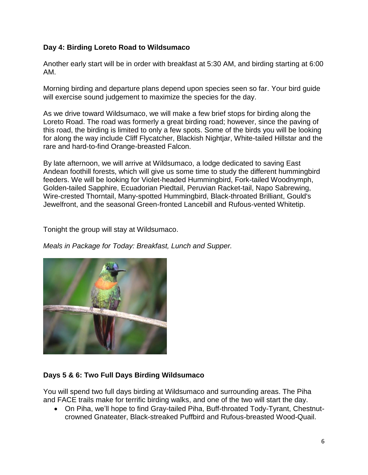## **Day 4: Birding Loreto Road to Wildsumaco**

Another early start will be in order with breakfast at 5:30 AM, and birding starting at 6:00 AM.

Morning birding and departure plans depend upon species seen so far. Your bird guide will exercise sound judgement to maximize the species for the day.

As we drive toward Wildsumaco, we will make a few brief stops for birding along the Loreto Road. The road was formerly a great birding road; however, since the paving of this road, the birding is limited to only a few spots. Some of the birds you will be looking for along the way include Cliff Flycatcher, Blackish Nightjar, White-tailed Hillstar and the rare and hard-to-find Orange-breasted Falcon.

By late afternoon, we will arrive at Wildsumaco, a lodge dedicated to saving East Andean foothill forests, which will give us some time to study the different hummingbird feeders. We will be looking for Violet-headed Hummingbird, Fork-tailed Woodnymph, Golden-tailed Sapphire, Ecuadorian Piedtail, Peruvian Racket-tail, Napo Sabrewing, Wire-crested Thorntail, Many-spotted Hummingbird, Black-throated Brilliant, Gould's Jewelfront, and the seasonal Green-fronted Lancebill and Rufous-vented Whitetip.

Tonight the group will stay at Wildsumaco.

*Meals in Package for Today: Breakfast, Lunch and Supper.*



# **Days 5 & 6: Two Full Days Birding Wildsumaco**

You will spend two full days birding at Wildsumaco and surrounding areas. The Piha and FACE trails make for terrific birding walks, and one of the two will start the day.

 On Piha, we'll hope to find Gray-tailed Piha, Buff-throated Tody-Tyrant, Chestnutcrowned Gnateater, Black-streaked Puffbird and Rufous-breasted Wood-Quail.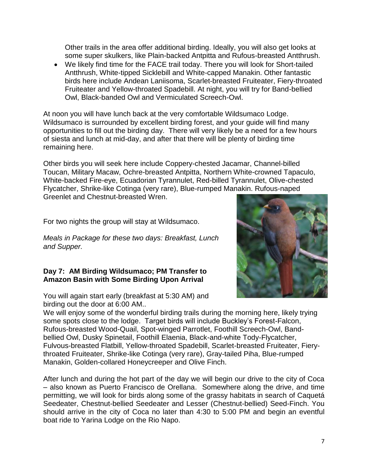Other trails in the area offer additional birding. Ideally, you will also get looks at some super skulkers, like Plain-backed Antpitta and Rufous-breasted Antthrush.

 We likely find time for the FACE trail today. There you will look for Short-tailed Antthrush, White-tipped Sicklebill and White-capped Manakin. Other fantastic birds here include Andean Laniisoma, Scarlet-breasted Fruiteater, Fiery-throated Fruiteater and Yellow-throated Spadebill. At night, you will try for Band-bellied Owl, Black-banded Owl and Vermiculated Screech-Owl.

At noon you will have lunch back at the very comfortable Wildsumaco Lodge. Wildsumaco is surrounded by excellent birding forest, and your guide will find many opportunities to fill out the birding day. There will very likely be a need for a few hours of siesta and lunch at mid-day, and after that there will be plenty of birding time remaining here.

Other birds you will seek here include Coppery-chested Jacamar, Channel-billed Toucan, Military Macaw, Ochre-breasted Antpitta, Northern White-crowned Tapaculo, White-backed Fire-eye, Ecuadorian Tyrannulet, Red-billed Tyrannulet, Olive-chested Flycatcher, Shrike-like Cotinga (very rare), Blue-rumped Manakin. Rufous-naped Greenlet and Chestnut-breasted Wren.

For two nights the group will stay at Wildsumaco.

*Meals in Package for these two days: Breakfast, Lunch and Supper.*

#### **Day 7: AM Birding Wildsumaco; PM Transfer to Amazon Basin with Some Birding Upon Arrival**

You will again start early (breakfast at 5:30 AM) and birding out the door at 6:00 AM..

We will enjoy some of the wonderful birding trails during the morning here, likely trying some spots close to the lodge. Target birds will include Buckley's Forest-Falcon, Rufous-breasted Wood-Quail, Spot-winged Parrotlet, Foothill Screech-Owl, Bandbellied Owl, Dusky Spinetail, Foothill Elaenia, Black-and-white Tody-Flycatcher, Fulvous-breasted Flatbill, Yellow-throated Spadebill, Scarlet-breasted Fruiteater, Fierythroated Fruiteater, Shrike-like Cotinga (very rare), Gray-tailed Piha, Blue-rumped Manakin, Golden-collared Honeycreeper and Olive Finch.

After lunch and during the hot part of the day we will begin our drive to the city of Coca – also known as Puerto Francisco de Orellana. Somewhere along the drive, and time permitting, we will look for birds along some of the grassy habitats in search of Caquetá Seedeater, Chestnut-bellied Seedeater and Lesser (Chestnut-bellied) Seed-Finch. You should arrive in the city of Coca no later than 4:30 to 5:00 PM and begin an eventful boat ride to Yarina Lodge on the Rio Napo.

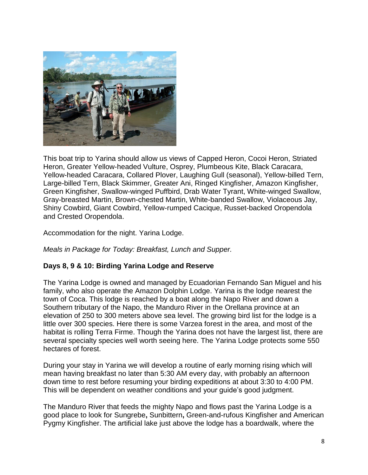

This boat trip to Yarina should allow us views of Capped Heron, Cocoi Heron, Striated Heron, Greater Yellow-headed Vulture, Osprey, Plumbeous Kite, Black Caracara, Yellow-headed Caracara, Collared Plover, Laughing Gull (seasonal), Yellow-billed Tern, Large-billed Tern, Black Skimmer, Greater Ani, Ringed Kingfisher, Amazon Kingfisher, Green Kingfisher, Swallow-winged Puffbird, Drab Water Tyrant, White-winged Swallow, Gray-breasted Martin, Brown-chested Martin, White-banded Swallow, Violaceous Jay, Shiny Cowbird, Giant Cowbird, Yellow-rumped Cacique, Russet-backed Oropendola and Crested Oropendola.

Accommodation for the night. Yarina Lodge.

*Meals in Package for Today: Breakfast, Lunch and Supper.*

#### **Days 8, 9 & 10: Birding Yarina Lodge and Reserve**

The Yarina Lodge is owned and managed by Ecuadorian Fernando San Miguel and his family, who also operate the Amazon Dolphin Lodge. Yarina is the lodge nearest the town of Coca. This lodge is reached by a boat along the Napo River and down a Southern tributary of the Napo, the Manduro River in the Orellana province at an elevation of 250 to 300 meters above sea level. The growing bird list for the lodge is a little over 300 species. Here there is some Varzea forest in the area, and most of the habitat is rolling Terra Firme. Though the Yarina does not have the largest list, there are several specialty species well worth seeing here. The Yarina Lodge protects some 550 hectares of forest.

During your stay in Yarina we will develop a routine of early morning rising which will mean having breakfast no later than 5:30 AM every day, with probably an afternoon down time to rest before resuming your birding expeditions at about 3:30 to 4:00 PM. This will be dependent on weather conditions and your guide's good judgment.

The Manduro River that feeds the mighty Napo and flows past the Yarina Lodge is a good place to look for Sungrebe**,** Sunbittern**,** Green-and-rufous Kingfisher and American Pygmy Kingfisher. The artificial lake just above the lodge has a boardwalk, where the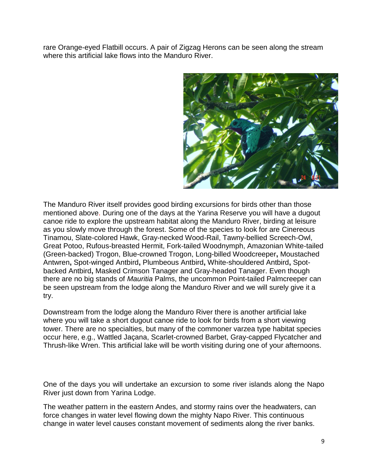rare Orange-eyed Flatbill occurs. A pair of Zigzag Herons can be seen along the stream where this artificial lake flows into the Manduro River.



The Manduro River itself provides good birding excursions for birds other than those mentioned above. During one of the days at the Yarina Reserve you will have a dugout canoe ride to explore the upstream habitat along the Manduro River, birding at leisure as you slowly move through the forest. Some of the species to look for are Cinereous Tinamou, Slate-colored Hawk, Gray-necked Wood-Rail, Tawny-bellied Screech-Owl, Great Potoo, Rufous-breasted Hermit, Fork-tailed Woodnymph, Amazonian White-tailed (Green-backed) Trogon, Blue-crowned Trogon, Long-billed Woodcreeper**,** Moustached Antwren**,** Spot-winged Antbird**,** Plumbeous Antbird**,** White-shouldered Antbird**,** Spotbacked Antbird**,** Masked Crimson Tanager and Gray-headed Tanager. Even though there are no big stands of *Mauritia* Palms, the uncommon Point-tailed Palmcreeper can be seen upstream from the lodge along the Manduro River and we will surely give it a try.

Downstream from the lodge along the Manduro River there is another artificial lake where you will take a short dugout canoe ride to look for birds from a short viewing tower. There are no specialties, but many of the commoner varzea type habitat species occur here, e.g., Wattled Jaçana, Scarlet-crowned Barbet, Gray-capped Flycatcher and Thrush-like Wren. This artificial lake will be worth visiting during one of your afternoons.

One of the days you will undertake an excursion to some river islands along the Napo River just down from Yarina Lodge.

The weather pattern in the eastern Andes, and stormy rains over the headwaters, can force changes in water level flowing down the mighty Napo River. This continuous change in water level causes constant movement of sediments along the river banks.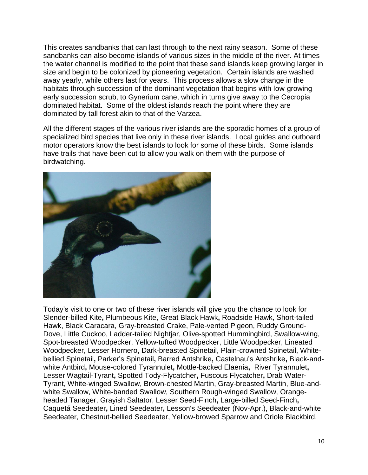This creates sandbanks that can last through to the next rainy season. Some of these sandbanks can also become islands of various sizes in the middle of the river. At times the water channel is modified to the point that these sand islands keep growing larger in size and begin to be colonized by pioneering vegetation. Certain islands are washed away yearly, while others last for years. This process allows a slow change in the habitats through succession of the dominant vegetation that begins with low-growing early succession scrub, to Gynerium cane, which in turns give away to the Cecropia dominated habitat. Some of the oldest islands reach the point where they are dominated by tall forest akin to that of the Varzea.

All the different stages of the various river islands are the sporadic homes of a group of specialized bird species that live only in these river islands. Local guides and outboard motor operators know the best islands to look for some of these birds. Some islands have trails that have been cut to allow you walk on them with the purpose of birdwatching.



Today's visit to one or two of these river islands will give you the chance to look for Slender-billed Kite**,** Plumbeous Kite, Great Black Hawk**,** Roadside Hawk, Short-tailed Hawk, Black Caracara, Gray-breasted Crake, Pale-vented Pigeon, Ruddy Ground-Dove, Little Cuckoo, Ladder-tailed Nightjar, Olive-spotted Hummingbird, Swallow-wing, Spot-breasted Woodpecker, Yellow-tufted Woodpecker, Little Woodpecker, Lineated Woodpecker, Lesser Hornero, Dark-breasted Spinetail, Plain-crowned Spinetail, Whitebellied Spinetail**,** Parker's Spinetail**,** Barred Antshrike**,** Castelnau's Antshrike**,** Black-andwhite Antbird**,** Mouse-colored Tyrannulet**,** Mottle-backed Elaenia**,** River Tyrannulet**,**  Lesser Wagtail-Tyrant**,** Spotted Tody-Flycatcher**,** Fuscous Flycatcher**,** Drab Water-Tyrant, White-winged Swallow, Brown-chested Martin, Gray-breasted Martin, Blue-andwhite Swallow, White-banded Swallow, Southern Rough-winged Swallow, Orangeheaded Tanager, Grayish Saltator, Lesser Seed-Finch**,** Large-billed Seed-Finch**,**  Caquetá Seedeater**,** Lined Seedeater**,** Lesson's Seedeater (Nov-Apr.), Black-and-white Seedeater, Chestnut-bellied Seedeater, Yellow-browed Sparrow and Oriole Blackbird.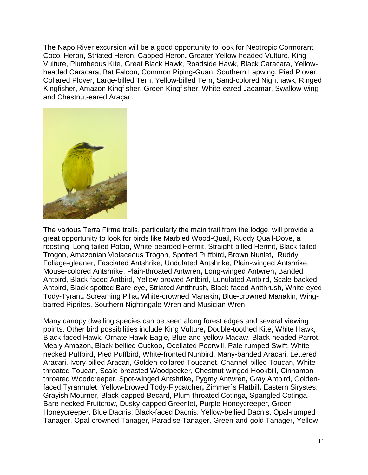The Napo River excursion will be a good opportunity to look for Neotropic Cormorant, Cocoi Heron**,** Striated Heron, Capped Heron**,** Greater Yellow-headed Vulture, King Vulture, Plumbeous Kite, Great Black Hawk, Roadside Hawk, Black Caracara, Yellowheaded Caracara, Bat Falcon, Common Piping-Guan, Southern Lapwing, Pied Plover, Collared Plover, Large-billed Tern, Yellow-billed Tern, Sand-colored Nighthawk, Ringed Kingfisher, Amazon Kingfisher, Green Kingfisher, White-eared Jacamar, Swallow-wing and Chestnut-eared Araçari.



The various Terra Firme trails, particularly the main trail from the lodge, will provide a great opportunity to look for birds like Marbled Wood-Quail, Ruddy Quail-Dove, a roosting Long-tailed Potoo, White-bearded Hermit, Straight-billed Hermit, Black-tailed Trogon, Amazonian Violaceous Trogon, Spotted Puffbird**,** Brown Nunlet**,** Ruddy Foliage-gleaner, Fasciated Antshrike, Undulated Antshrike, Plain-winged Antshrike, Mouse-colored Antshrike, Plain-throated Antwren**,** Long-winged Antwren**,** Banded Antbird, Black-faced Antbird, Yellow-browed Antbird**,** Lunulated Antbird, Scale-backed Antbird, Black-spotted Bare-eye**,** Striated Antthrush, Black-faced Antthrush, White-eyed Tody-Tyrant**,** Screaming Piha**,** White-crowned Manakin**,** Blue-crowned Manakin, Wingbarred Piprites, Southern Nightingale-Wren and Musician Wren.

Many canopy dwelling species can be seen along forest edges and several viewing points. Other bird possibilities include King Vulture**,** Double-toothed Kite, White Hawk, Black-faced Hawk**,** Ornate Hawk-Eagle, Blue-and-yellow Macaw, Black-headed Parrot**,**  Mealy Amazon**,** Black-bellied Cuckoo**,** Ocellated Poorwill, Pale-rumped Swift, Whitenecked Puffbird, Pied Puffbird, White-fronted Nunbird, Many-banded Aracari, Lettered Aracari, Ivory-billed Aracari, Golden-collared Toucanet, Channel-billed Toucan, Whitethroated Toucan, Scale-breasted Woodpecker, Chestnut-winged Hookbill**,** Cinnamonthroated Woodcreeper, Spot-winged Antshrike**,** Pygmy Antwren**,** Gray Antbird, Goldenfaced Tyrannulet, Yellow-browed Tody-Flycatcher**,** Zimmer´s Flatbill**,** Eastern Sirystes, Grayish Mourner, Black-capped Becard, Plum-throated Cotinga, Spangled Cotinga, Bare-necked Fruitcrow, Dusky-capped Greenlet, Purple Honeycreeper, Green Honeycreeper, Blue Dacnis, Black-faced Dacnis, Yellow-bellied Dacnis, Opal-rumped Tanager, Opal-crowned Tanager, Paradise Tanager, Green-and-gold Tanager, Yellow